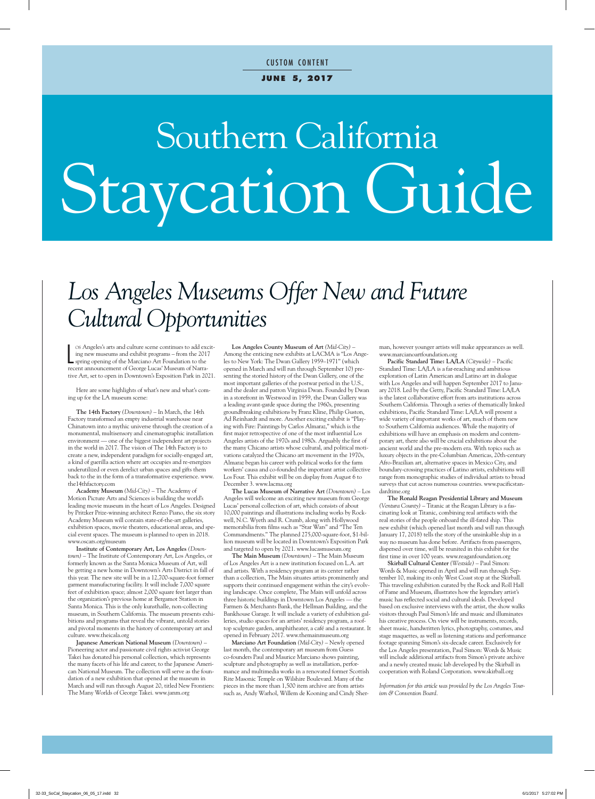# Southern California Staycation Guide

### *Los Angeles Museums Offer New and Future Cultural Opportunities*

los Angeles's arts and culture scene continues to add exempt and exhibit programs – from the 201's pring opening of the Marciano Art Foundation to the recent announcement of George Lucas' Museum of Narraos Angeles's arts and culture scene continues to add exciting new museums and exhibit programs – from the 2017 spring opening of the Marciano Art Foundation to the tive Art, set to open in Downtown's Exposition Park in 2021.

Here are some highlights of what's new and what's coming up for the LA museum scene:

**The 14th Factory** *(Downtown)* – In March, the 14th Factory transformed an empty industrial warehouse near Chinatown into a mythic universe through the creation of a monumental, multisensory and cinematographic installation environment — one of the biggest independent art projects in the world in 2017. The vision of The 14th Factory is to create a new, independent paradigm for socially-engaged art, a kind of guerilla action where art occupies and re-energizes underutilized or even derelict urban spaces and gifts them back to the in the form of a transformative experience. www. the14thfactory.com

**Academy Museum** *(Mid-City)* – The Academy of Motion Picture Arts and Sciences is building the world's leading movie museum in the heart of Los Angeles. Designed by Pritzker Prize-winning architect Renzo Piano, the six story Academy Museum will contain state-of-the-art galleries, exhibition spaces, movie theaters, educational areas, and special event spaces. The museum is planned to open in 2018. www.oscars.org/museum

**Institute of Contemporary Art, Los Angeles** *(Downtown)* – The Institute of Contemporary Art, Los Angeles, or formerly known as the Santa Monica Museum of Art, will be getting a new home in Downtown's Arts District in fall of this year. The new site will be in a 12,700-square-foot former garment manufacturing facility. It will include 7,000 square feet of exhibition space; almost 2,000 square feet larger than the organization's previous home at Bergamot Station in Santa Monica. This is the only kunsthalle, non-collecting museum, in Southern California. The museum presents exhibitions and programs that reveal the vibrant, untold stories and pivotal moments in the history of contemporary art and culture. www.theicala.org

**Japanese American National Museum** *(Downtown)* – Pioneering actor and passionate civil rights activist George Takei has donated his personal collection, which represents the many facets of his life and career, to the Japanese American National Museum. The collection will serve as the foundation of a new exhibition that opened at the museum in March and will run through August 20, titled New Frontiers: The Many Worlds of George Takei. www.janm.org

**Los Angeles County Museum of Art** *(Mid-City)* – Among the enticing new exhibits at LACMA is "Los Angeles to New York: The Dwan Gallery 1959–1971" (which opened in March and will run through September 10) presenting the storied history of the Dwan Gallery, one of the most important galleries of the postwar period in the U.S., and the dealer and patron Virginia Dwan. Founded by Dwan in a storefront in Westwood in 1959, the Dwan Gallery was a leading avant-garde space during the 1960s, presenting groundbreaking exhibitions by Franz Kline, Philip Guston, Ad Reinhardt and more. Another exciting exhibit is "Playing with Fire: Paintings by Carlos Almaraz," which is the first major retrospective of one of the most influential Los Angeles artists of the 1970s and 1980s. Arguably the first of the many Chicano artists whose cultural, and political motivations catalyzed the Chicano art movement in the 1970s, Almaraz began his career with political works for the farm workers' causa and co-founded the important artist collective Los Four. This exhibit will be on display from August 6 to December 3. www.lacma.org

**The Lucas Museum of Narrative Art** *(Downtown)* – Los Angeles will welcome an exciting new museum from George Lucas' personal collection of art, which consists of about 10,000 paintings and illustrations including works by Rockwell, N.C. Wyeth and R. Crumb, along with Hollywood memorabilia from films such as "Star Wars" and "The Ten Commandments." The planned 275,000-square-foot, \$1-billion museum will be located in Downtown's Exposition Park and targeted to open by 2021. www.lucasmuseum.org

**The Main Museum** *(Downtown)* – The Main Museum of Los Angeles Art is a new institution focused on L.A. art and artists. With a residency program at its center rather than a collection, The Main situates artists prominently and supports their continued engagement within the city's evolving landscape. Once complete, The Main will unfold across three historic buildings in Downtown Los Angeles — the Farmers & Merchants Bank, the Hellman Building, and the Bankhouse Garage. It will include a variety of exhibition galleries, studio spaces for an artists' residency program, a rooftop sculpture garden, amphitheater, a café and a restaurant. It opened in February 2017. www.themainmuseum.org

**Marciano Art Foundation** *(Mid-City)* – Newly opened last month, the contemporary art museum from Guess co-founders Paul and Maurice Marciano shows painting, sculpture and photography as well as installation, performance and multimedia works in a renovated former Scottish Rite Masonic Temple on Wilshire Boulevard. Many of the pieces in the more than 1,500 item archive are from artists such as, Andy Warhol, Willem de Kooning and Cindy Sherman, however younger artists will make appearances as well. www.marcianoartfoundation.org

**Pacific Standard Time: LA/LA** *(Citywide)* – Pacific Standard Time: LA/LA is a far-reaching and ambitious exploration of Latin American and Latino art in dialogue with Los Angeles and will happen September 2017 to January 2018. Led by the Getty, Pacific Standard Time: LA/LA is the latest collaborative effort from arts institutions across Southern California. Through a series of thematically linked exhibitions, Pacific Standard Time: LA/LA will present a wide variety of important works of art, much of them new to Southern California audiences. While the majority of exhibitions will have an emphasis on modern and contemporary art, there also will be crucial exhibitions about the ancient world and the pre-modern era. With topics such as luxury objects in the pre-Columbian Americas, 20th-century Afro-Brazilian art, alternative spaces in Mexico City, and boundary-crossing practices of Latino artists, exhibitions will range from monographic studies of individual artists to broad surveys that cut across numerous countries. www.pacificstandardtime.org

**The Ronald Reagan Presidential Library and Museum** *(Ventura County)* – Titanic at the Reagan Library is a fascinating look at Titanic, combining real artifacts with the real stories of the people onboard the ill-fated ship. This new exhibit (which opened last month and will run through January 17, 2018) tells the story of the unsinkable ship in a way no museum has done before. Artifacts from passengers, dispersed over time, will be reunited in this exhibit for the first time in over 100 years. www.reaganfoundation.org

**Skirball Cultural Center** *(Westside)* – Paul Simon: Words & Music opened in April and will run through September 10, making its only West Coast stop at the Skirball. This traveling exhibition curated by the Rock and Roll Hall of Fame and Museum, illustrates how the legendary artist's music has reflected social and cultural ideals. Developed based on exclusive interviews with the artist, the show walks visitors through Paul Simon's life and music and illuminates his creative process. On view will be instruments, records, sheet music, handwritten lyrics, photography, costumes, and stage maquettes, as well as listening stations and performance footage spanning Simon's six-decade career. Exclusively for the Los Angeles presentation, Paul Simon: Words & Music will include additional artifacts from Simon's private archive and a newly created music lab developed by the Skirball in cooperation with Roland Corporation. www.skirball.org

*Information for this article was provided by the Los Angeles Tourism & Convention Board.*